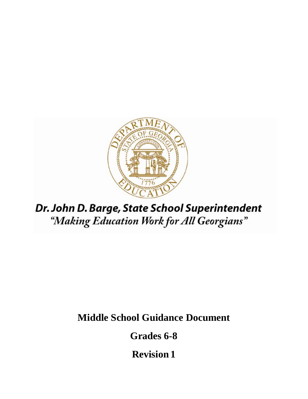

# Dr. John D. Barge, State School Superintendent "Making Education Work for All Georgians"

**Middle School Guidance Document** 

**Grades 6-8** 

**Revision 1**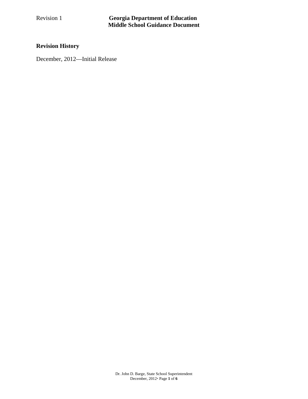# **Revision History**

December, 2012—Initial Release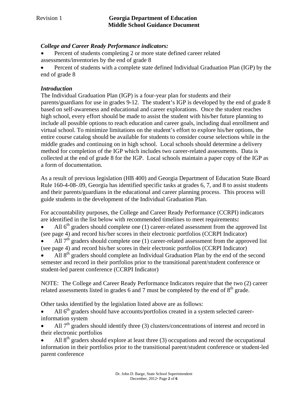#### *College and Career Ready Performance indicators:*

- Percent of students completing 2 or more state defined career related assessments/inventories by the end of grade 8
- Percent of students with a complete state defined Individual Graduation Plan (IGP) by the end of grade 8

#### *Introduction*

The Individual Graduation Plan (IGP) is a four-year plan for students and their parents/guardians for use in grades 9-12. The student's IGP is developed by the end of grade 8 based on self-awareness and educational and career explorations. Once the student reaches high school, every effort should be made to assist the student with his/her future planning to include all possible options to reach education and career goals, including dual enrollment and virtual school. To minimize limitations on the student's effort to explore his/her options, the entire course catalog should be available for students to consider course selections while in the middle grades and continuing on in high school. Local schools should determine a delivery method for completion of the IGP which includes two career-related assessments. Data is collected at the end of grade 8 for the IGP. Local schools maintain a paper copy of the IGP as a form of documentation.

As a result of previous legislation (HB 400) and Georgia Department of Education State Board Rule 160-4-08-.09, Georgia has identified specific tasks at grades 6, 7, and 8 to assist students and their parents/guardians in the educational and career planning process. This process will guide students in the development of the Individual Graduation Plan.

For accountability purposes, the College and Career Ready Performance (CCRPI) indicators are identified in the list below with recommended timelines to meet requirements**:** 

- All  $6<sup>th</sup>$  graders should complete one (1) career-related assessment from the approved list (see page 4) and record his/her scores in their electronic portfolios (CCRPI Indicator)
- All  $7<sup>th</sup>$  graders should complete one (1) career-related assessment from the approved list (see page 4) and record his/her scores in their electronic portfolios (CCRPI Indicator)
- All  $8<sup>th</sup>$  graders should complete an Individual Graduation Plan by the end of the second semester and record in their portfolios prior to the transitional parent/student conference or student-led parent conference (CCRPI Indicator)

NOTE: The College and Career Ready Performance Indicators require that the two (2) career related assessments listed in grades 6 and 7 must be completed by the end of  $8<sup>th</sup>$  grade.

Other tasks identified by the legislation listed above are as follows:

- All 6<sup>th</sup> graders should have accounts/portfolios created in a system selected careerinformation system
- All  $7<sup>th</sup>$  graders should identify three (3) clusters/concentrations of interest and record in their electronic portfolios
- All  $8<sup>th</sup>$  graders should explore at least three (3) occupations and record the occupational information in their portfolios prior to the transitional parent/student conference or student-led parent conference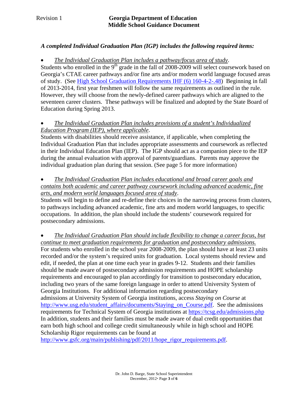#### *A completed Individual Graduation Plan (IGP) includes the following required items:*

*The Individual Graduation Plan includes a pathway/focus area of study*.

Students who enrolled in the  $9<sup>th</sup>$  grade in the fall of 2008-2009 will select coursework based on Georgia's CTAE career pathways and/or fine arts and/or modern world language focused areas of study. (See High School Graduation Requirements IHF (6) 160-4-2-.48) Beginning in fall of 2013-2014, first year freshmen will follow the same requirements as outlined in the rule. However, they will choose from the newly-defined career pathways which are aligned to the seventeen career clusters. These pathways will be finalized and adopted by the State Board of Education during Spring 2013.

#### *The Individual Graduation Plan includes provisions of a student's Individualized Education Program (IEP), where applicable*.

Students with disabilities should receive assistance, if applicable, when completing the Individual Graduation Plan that includes appropriate assessments and coursework as reflected in their Individual Education Plan (IEP). The IGP should act as a companion piece to the IEP during the annual evaluation with approval of parents/guardians. Parents may approve the individual graduation plan during that session. (See page 5 for more information)

#### *The Individual Graduation Plan includes educational and broad career goals and contains both academic and career pathway coursework including advanced academic, fine arts, and modern world languages focused area of study*.

Students will begin to define and re-define their choices in the narrowing process from clusters, to pathways including advanced academic, fine arts and modern world languages, to specific occupations. In addition, the plan should include the students' coursework required for postsecondary admissions.

 *The Individual Graduation Plan should include flexibility to change a career focus, but continue to meet graduation requirements for graduation and postsecondary admissions.*  For students who enrolled in the school year 2008-2009, the plan should have at least 23 units recorded and/or the system's required units for graduation. Local systems should review and edit, if needed, the plan at one time each year in grades 9-12. Students and their families should be made aware of postsecondary admission requirements and HOPE scholarship requirements and encouraged to plan accordingly for transition to postsecondary education, including two years of the same foreign language in order to attend University System of Georgia Institutions. For additional information regarding postsecondary admissions at University System of Georgia institutions, access *Staying on Course* at http://www.usg.edu/student\_affairs/documents/Staying\_on\_Course.pdf. See the admissions requirements for Technical System of Georgia institutions at https://tcsg.edu/admissions.php In addition, students and their families must be made aware of dual credit opportunities that earn both high school and college credit simultaneously while in high school and HOPE Scholarship Rigor requirements can be found at

http://www.gsfc.org/main/publishing/pdf/2011/hope\_rigor\_requirements.pdf.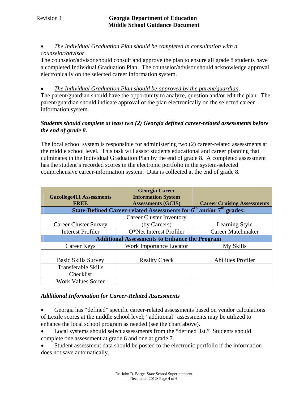#### *The Individual Graduation Plan should be completed in consultation with a counselor/advisor*.

The counselor/advisor should consult and approve the plan to ensure all grade 8 students have a completed Individual Graduation Plan. The counselor/advisor should acknowledge approval electronically on the selected career information system.

*The Individual Graduation Plan should be approved by the parent/guardian*.

The parent/guardian should have the opportunity to analyze, question and/or edit the plan. The parent/guardian should indicate approval of the plan electronically on the selected career information system.

#### *Students should complete at least two (2) Georgia defined career-related assessments before the end of grade 8.*

The local school system is responsible for administering two (2) career-related assessments at the middle school level. This task will assist students educational and career planning that culminates in the Individual Graduation Plan by the end of grade 8. A completed assessment has the student's recorded scores in the electronic portfolio in the system-selected comprehensive career-information system. Data is collected at the end of grade 8.

| <b>Gacollege411 Assessments</b>                                         | <b>Georgia Career</b><br><b>Information System</b> |                                    |
|-------------------------------------------------------------------------|----------------------------------------------------|------------------------------------|
| <b>FREE</b>                                                             | <b>Assessments (GCIS)</b>                          | <b>Career Cruising Assessments</b> |
| State-Defined Career-related Assessments for $6th$ and/or $7th$ grades: |                                                    |                                    |
|                                                                         | Career Cluster Inventory                           |                                    |
| <b>Career Cluster Survey</b>                                            | (by Careers)                                       | Learning Style                     |
| <b>Interest Profiler</b>                                                | O*Net Interest Profiler                            | <b>Career Matchmaker</b>           |
| <b>Additional Assessments to Enhance the Program</b>                    |                                                    |                                    |
| Career Keys                                                             | <b>Work Importance Locator</b>                     | My Skills                          |
| <b>Basic Skills Survey</b>                                              | <b>Reality Check</b>                               | <b>Abilities Profiler</b>          |
| <b>Transferable Skills</b>                                              |                                                    |                                    |
| Checklist                                                               |                                                    |                                    |
| <b>Work Values Sorter</b>                                               |                                                    |                                    |

#### *Additional Information for Career-Related Assessments*

 Georgia has "defined" specific career-related assessments based on vendor calculations of Lexile scores at the middle school level; "additional" assessments may be utilized to enhance the local school program as needed (see the chart above).

• Local systems should select assessments from the "defined list." Students should complete one assessment at grade 6 and one at grade 7.

 Student assessment data should be posted to the electronic portfolio if the information does not save automatically.